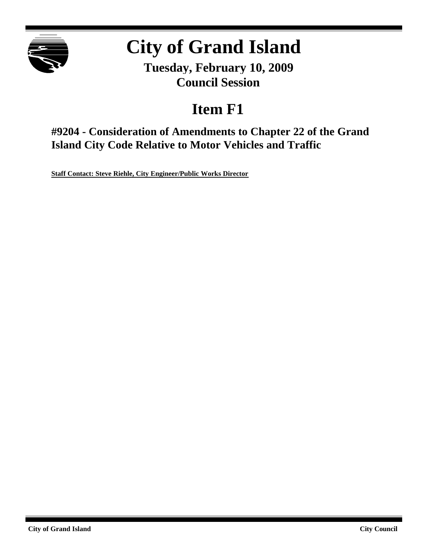

# **City of Grand Island**

**Tuesday, February 10, 2009 Council Session**

## **Item F1**

**#9204 - Consideration of Amendments to Chapter 22 of the Grand Island City Code Relative to Motor Vehicles and Traffic**

**Staff Contact: Steve Riehle, City Engineer/Public Works Director**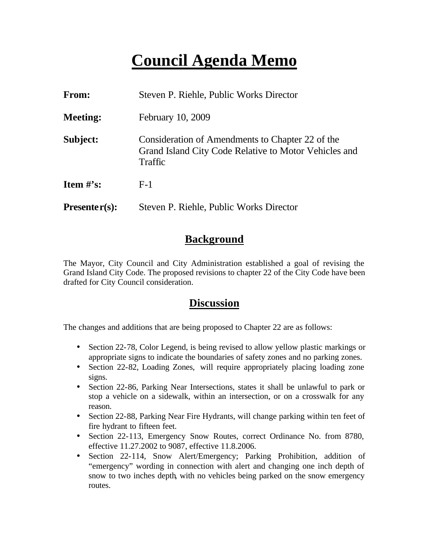## **Council Agenda Memo**

| From:                          | Steven P. Riehle, Public Works Director                                                                              |
|--------------------------------|----------------------------------------------------------------------------------------------------------------------|
| <b>Meeting:</b>                | February 10, 2009                                                                                                    |
| Subject:                       | Consideration of Amendments to Chapter 22 of the<br>Grand Island City Code Relative to Motor Vehicles and<br>Traffic |
| <b>Item <math>\#</math>'s:</b> | $F-1$                                                                                                                |
| $Presenter(s):$                | Steven P. Riehle, Public Works Director                                                                              |

### **Background**

The Mayor, City Council and City Administration established a goal of revising the Grand Island City Code. The proposed revisions to chapter 22 of the City Code have been drafted for City Council consideration.

### **Discussion**

The changes and additions that are being proposed to Chapter 22 are as follows:

- Section 22-78, Color Legend, is being revised to allow yellow plastic markings or appropriate signs to indicate the boundaries of safety zones and no parking zones.
- Section 22-82, Loading Zones, will require appropriately placing loading zone signs.
- Section 22-86, Parking Near Intersections, states it shall be unlawful to park or stop a vehicle on a sidewalk, within an intersection, or on a crosswalk for any reason.
- Section 22-88, Parking Near Fire Hydrants, will change parking within ten feet of fire hydrant to fifteen feet.
- Section 22-113, Emergency Snow Routes, correct Ordinance No. from 8780, effective 11.27.2002 to 9087, effective 11.8.2006.
- Section 22-114, Snow Alert/Emergency; Parking Prohibition, addition of "emergency" wording in connection with alert and changing one inch depth of snow to two inches depth, with no vehicles being parked on the snow emergency routes.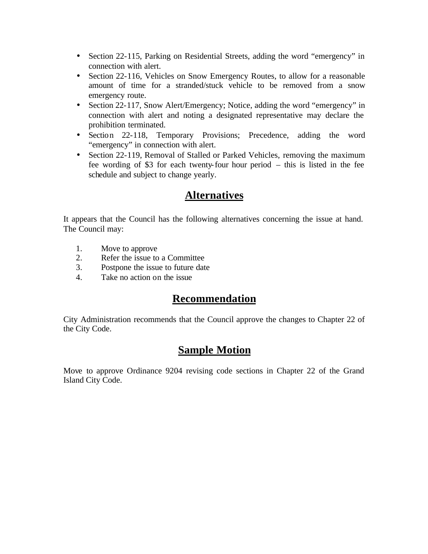- Section 22-115, Parking on Residential Streets, adding the word "emergency" in connection with alert.
- Section 22-116, Vehicles on Snow Emergency Routes, to allow for a reasonable amount of time for a stranded/stuck vehicle to be removed from a snow emergency route.
- Section 22-117, Snow Alert/Emergency; Notice, adding the word "emergency" in connection with alert and noting a designated representative may declare the prohibition terminated.
- Section 22-118, Temporary Provisions; Precedence, adding the word "emergency" in connection with alert.
- Section 22-119, Removal of Stalled or Parked Vehicles, removing the maximum fee wording of \$3 for each twenty-four hour period – this is listed in the fee schedule and subject to change yearly.

## **Alternatives**

It appears that the Council has the following alternatives concerning the issue at hand. The Council may:

- 1. Move to approve
- 2. Refer the issue to a Committee
- 3. Postpone the issue to future date
- 4. Take no action on the issue

## **Recommendation**

City Administration recommends that the Council approve the changes to Chapter 22 of the City Code.

## **Sample Motion**

Move to approve Ordinance 9204 revising code sections in Chapter 22 of the Grand Island City Code.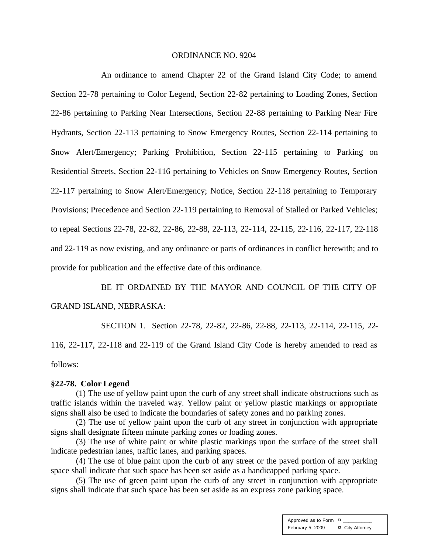#### ORDINANCE NO. 9204

An ordinance to amend Chapter 22 of the Grand Island City Code; to amend Section 22-78 pertaining to Color Legend, Section 22-82 pertaining to Loading Zones, Section 22-86 pertaining to Parking Near Intersections, Section 22-88 pertaining to Parking Near Fire Hydrants, Section 22-113 pertaining to Snow Emergency Routes, Section 22-114 pertaining to Snow Alert/Emergency; Parking Prohibition, Section 22-115 pertaining to Parking on Residential Streets, Section 22-116 pertaining to Vehicles on Snow Emergency Routes, Section 22-117 pertaining to Snow Alert/Emergency; Notice, Section 22-118 pertaining to Temporary Provisions; Precedence and Section 22-119 pertaining to Removal of Stalled or Parked Vehicles; to repeal Sections 22-78, 22-82, 22-86, 22-88, 22-113, 22-114, 22-115, 22-116, 22-117, 22-118 and 22-119 as now existing, and any ordinance or parts of ordinances in conflict herewith; and to provide for publication and the effective date of this ordinance.

BE IT ORDAINED BY THE MAYOR AND COUNCIL OF THE CITY OF GRAND ISLAND, NEBRASKA:

SECTION 1. Section 22-78, 22-82, 22-86, 22-88, 22-113, 22-114, 22-115, 22- 116, 22-117, 22-118 and 22-119 of the Grand Island City Code is hereby amended to read as follows:

#### **§22-78. Color Legend**

(1) The use of yellow paint upon the curb of any street shall indicate obstructions such as traffic islands within the traveled way. Yellow paint or yellow plastic markings or appropriate signs shall also be used to indicate the boundaries of safety zones and no parking zones.

(2) The use of yellow paint upon the curb of any street in conjunction with appropriate signs shall designate fifteen minute parking zones or loading zones.

(3) The use of white paint or white plastic markings upon the surface of the street shall indicate pedestrian lanes, traffic lanes, and parking spaces.

(4) The use of blue paint upon the curb of any street or the paved portion of any parking space shall indicate that such space has been set aside as a handicapped parking space.

(5) The use of green paint upon the curb of any street in conjunction with appropriate signs shall indicate that such space has been set aside as an express zone parking space.

> Approved as to Form  $\overline{a}$ February 5, 2009 <sup>¤</sup> City Attorney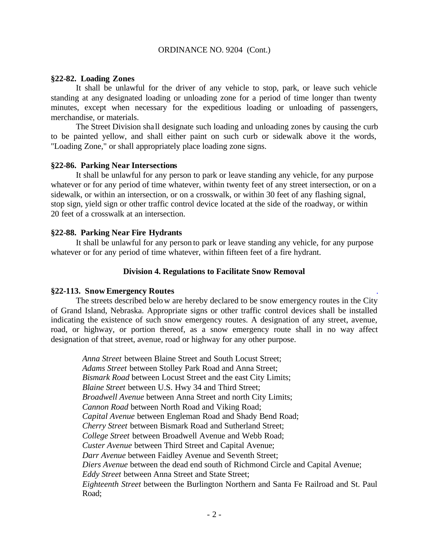#### **§22-82. Loading Zones**

It shall be unlawful for the driver of any vehicle to stop, park, or leave such vehicle standing at any designated loading or unloading zone for a period of time longer than twenty minutes, except when necessary for the expeditious loading or unloading of passengers, merchandise, or materials.

The Street Division sha ll designate such loading and unloading zones by causing the curb to be painted yellow, and shall either paint on such curb or sidewalk above it the words, "Loading Zone," or shall appropriately place loading zone signs.

#### **§22-86. Parking Near Intersections**

It shall be unlawful for any person to park or leave standing any vehicle, for any purpose whatever or for any period of time whatever, within twenty feet of any street intersection, or on a sidewalk, or within an intersection, or on a crosswalk, or within 30 feet of any flashing signal, stop sign, yield sign or other traffic control device located at the side of the roadway, or within 20 feet of a crosswalk at an intersection.

#### **§22-88. Parking Near Fire Hydrants**

It shall be unlawful for any person to park or leave standing any vehicle, for any purpose whatever or for any period of time whatever, within fifteen feet of a fire hydrant.

#### **Division 4. Regulations to Facilitate Snow Removal**

#### **§22-113. Snow Emergency Routes** .

The streets described below are hereby declared to be snow emergency routes in the City of Grand Island, Nebraska. Appropriate signs or other traffic control devices shall be installed indicating the existence of such snow emergency routes. A designation of any street, avenue, road, or highway, or portion thereof, as a snow emergency route shall in no way affect designation of that street, avenue, road or highway for any other purpose.

*Anna Street* between Blaine Street and South Locust Street; *Adams Street* between Stolley Park Road and Anna Street; *Bismark Road* between Locust Street and the east City Limits; *Blaine Street* between U.S. Hwy 34 and Third Street; *Broadwell Avenue* between Anna Street and north City Limits; *Cannon Road* between North Road and Viking Road; *Capital Avenue* between Engleman Road and Shady Bend Road; *Cherry Street* between Bismark Road and Sutherland Street; *College Street* between Broadwell Avenue and Webb Road; *Custer Avenue* between Third Street and Capital Avenue; *Darr Avenue* between Faidley Avenue and Seventh Street; *Diers Avenue* between the dead end south of Richmond Circle and Capital Avenue; *Eddy Street* between Anna Street and State Street; *Eighteenth Street* between the Burlington Northern and Santa Fe Railroad and St. Paul Road;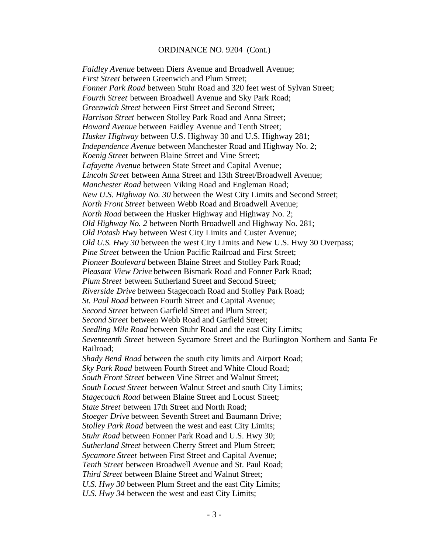*Faidley Avenue* between Diers Avenue and Broadwell Avenue; *First Street* between Greenwich and Plum Street; *Fonner Park Road* between Stuhr Road and 320 feet west of Sylvan Street; *Fourth Street* between Broadwell Avenue and Sky Park Road; *Greenwich Street* between First Street and Second Street; *Harrison Street* between Stolley Park Road and Anna Street; *Howard Avenue* between Faidley Avenue and Tenth Street; *Husker Highway* between U.S. Highway 30 and U.S. Highway 281; *Independence Avenue* between Manchester Road and Highway No. 2; *Koenig Street* between Blaine Street and Vine Street; *Lafayette Avenue* between State Street and Capital Avenue; *Lincoln Street* between Anna Street and 13th Street/Broadwell Avenue; *Manchester Road* between Viking Road and Engleman Road; *New U.S. Highway No. 30* between the West City Limits and Second Street; *North Front Street* between Webb Road and Broadwell Avenue; *North Road* between the Husker Highway and Highway No. 2; *Old Highway No. 2* between North Broadwell and Highway No. 281; *Old Potash Hwy* between West City Limits and Custer Avenue; *Old U.S. Hwy 30* between the west City Limits and New U.S. Hwy 30 Overpass; *Pine Street* between the Union Pacific Railroad and First Street; *Pioneer Boulevard* between Blaine Street and Stolley Park Road; *Pleasant View Drive* between Bismark Road and Fonner Park Road; *Plum Street* between Sutherland Street and Second Street; *Riverside Drive* between Stagecoach Road and Stolley Park Road; *St. Paul Road* between Fourth Street and Capital Avenue; *Second Street* between Garfield Street and Plum Street; *Second Street* between Webb Road and Garfield Street; *Seedling Mile Road* between Stuhr Road and the east City Limits; *Seventeenth Street* between Sycamore Street and the Burlington Northern and Santa Fe Railroad; *Shady Bend Road* between the south city limits and Airport Road; *Sky Park Road* between Fourth Street and White Cloud Road; *South Front Street* between Vine Street and Walnut Street; *South Locust Street* between Walnut Street and south City Limits; **Stagecoach Road between Blaine Street and Locust Street;** *State Street* between 17th Street and North Road; *Stoeger Drive* between Seventh Street and Baumann Drive; *Stolley Park Road* between the west and east City Limits; *Stuhr Road* between Fonner Park Road and U.S. Hwy 30; *Sutherland Street* between Cherry Street and Plum Street; *Sycamore Street* between First Street and Capital Avenue; *Tenth Street* between Broadwell Avenue and St. Paul Road; *Third Street* between Blaine Street and Walnut Street; *U.S. Hwy 30* between Plum Street and the east City Limits; *U.S. Hwy 34* between the west and east City Limits;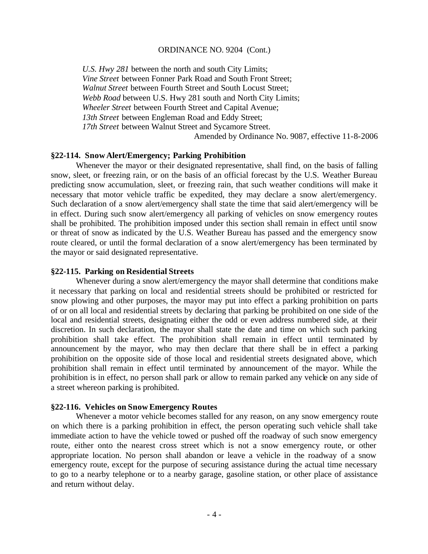*U.S. Hwy 281* between the north and south City Limits; *Vine Street* between Fonner Park Road and South Front Street; *Walnut Street* between Fourth Street and South Locust Street; *Webb Road* between U.S. Hwy 281 south and North City Limits; *Wheeler Street* between Fourth Street and Capital Avenue; *13th Street* between Engleman Road and Eddy Street; *17th Street* between Walnut Street and Sycamore Street. Amended by Ordinance No. 9087, effective 11-8-2006

#### **§22-114. Snow Alert/Emergency; Parking Prohibition**

Whenever the mayor or their designated representative, shall find, on the basis of falling snow, sleet, or freezing rain, or on the basis of an official forecast by the U.S. Weather Bureau predicting snow accumulation, sleet, or freezing rain, that such weather conditions will make it necessary that motor vehicle traffic be expedited, they may declare a snow alert/emergency. Such declaration of a snow alert/emergency shall state the time that said alert/emergency will be in effect. During such snow alert/emergency all parking of vehicles on snow emergency routes shall be prohibited. The prohibition imposed under this section shall remain in effect until snow or threat of snow as indicated by the U.S. Weather Bureau has passed and the emergency snow route cleared, or until the formal declaration of a snow alert/emergency has been terminated by the mayor or said designated representative.

#### **§22-115. Parking on Residential Streets**

Whenever during a snow alert/emergency the mayor shall determine that conditions make it necessary that parking on local and residential streets should be prohibited or restricted for snow plowing and other purposes, the mayor may put into effect a parking prohibition on parts of or on all local and residential streets by declaring that parking be prohibited on one side of the local and residential streets, designating either the odd or even address numbered side, at their discretion. In such declaration, the mayor shall state the date and time on which such parking prohibition shall take effect. The prohibition shall remain in effect until terminated by announcement by the mayor, who may then declare that there shall be in effect a parking prohibition on the opposite side of those local and residential streets designated above, which prohibition shall remain in effect until terminated by announcement of the mayor. While the prohibition is in effect, no person shall park or allow to remain parked any vehicle on any side of a street whereon parking is prohibited.

#### **§22-116. Vehicles on Snow Emergency Routes**

Whenever a motor vehicle becomes stalled for any reason, on any snow emergency route on which there is a parking prohibition in effect, the person operating such vehicle shall take immediate action to have the vehicle towed or pushed off the roadway of such snow emergency route, either onto the nearest cross street which is not a snow emergency route, or other appropriate location. No person shall abandon or leave a vehicle in the roadway of a snow emergency route, except for the purpose of securing assistance during the actual time necessary to go to a nearby telephone or to a nearby garage, gasoline station, or other place of assistance and return without delay.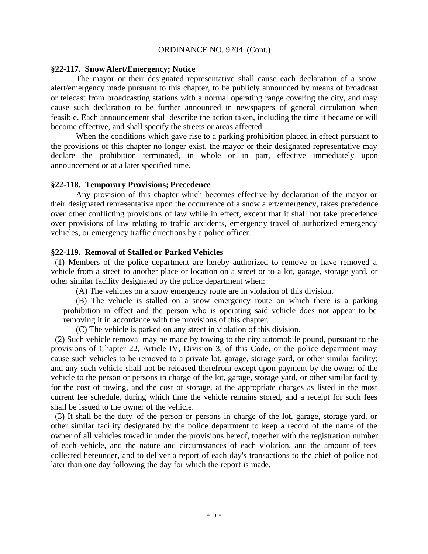#### **§22-117. Snow Alert/Emergency; Notice**

The mayor or their designated representative shall cause each declaration of a snow alert/emergency made pursuant to this chapter, to be publicly announced by means of broadcast or telecast from broadcasting stations with a normal operating range covering the city, and may cause such declaration to be further announced in newspapers of general circulation when feasible. Each announcement shall describe the action taken, including the time it became or will become effective, and shall specify the streets or areas affected

When the conditions which gave rise to a parking prohibition placed in effect pursuant to the provisions of this chapter no longer exist, the mayor or their designated representative may declare the prohibition terminated, in whole or in part, effective immediately upon announcement or at a later specified time.

#### **§22-118. Temporary Provisions; Precedence**

Any provision of this chapter which becomes effective by declaration of the mayor or their designated representative upon the occurrence of a snow alert/emergency, takes precedence over other conflicting provisions of law while in effect, except that it shall not take precedence over provisions of law relating to traffic accidents, emergency travel of authorized emergency vehicles, or emergency traffic directions by a police officer.

#### **§22-119. Removal of Stalled or Parked Vehicles**

 (1) Members of the police department are hereby authorized to remove or have removed a vehicle from a street to another place or location on a street or to a lot, garage, storage yard, or other similar facility designated by the police department when:

(A) The vehicles on a snow emergency route are in violation of this division.

(B) The vehicle is stalled on a snow emergency route on which there is a parking prohibition in effect and the person who is operating said vehicle does not appear to be removing it in accordance with the provisions of this chapter.

(C) The vehicle is parked on any street in violation of this division.

 (2) Such vehicle removal may be made by towing to the city automobile pound, pursuant to the provisions of Chapter 22, Article IV, Division 3, of this Code, or the police department may cause such vehicles to be removed to a private lot, garage, storage yard, or other similar facility; and any such vehicle shall not be released therefrom except upon payment by the owner of the vehicle to the person or persons in charge of the lot, garage, storage yard, or other similar facility for the cost of towing, and the cost of storage, at the appropriate charges as listed in the most current fee schedule, during which time the vehicle remains stored, and a receipt for such fees shall be issued to the owner of the vehicle.

 (3) It shall be the duty of the person or persons in charge of the lot, garage, storage yard, or other similar facility designated by the police department to keep a record of the name of the owner of all vehicles towed in under the provisions hereof, together with the registration number of each vehicle, and the nature and circumstances of each violation, and the amount of fees collected hereunder, and to deliver a report of each day's transactions to the chief of police not later than one day following the day for which the report is made.